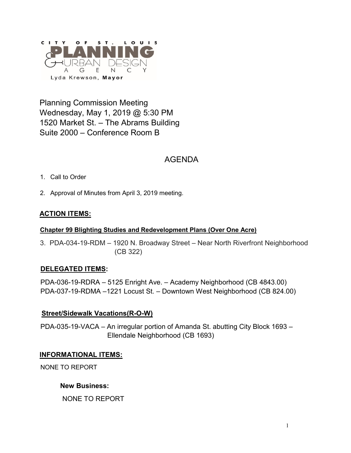

Planning Commission Meeting Wednesday, May 1, 2019 @ 5:30 PM 1520 Market St. – The Abrams Building Suite 2000 – Conference Room B

# AGENDA

- 1. Call to Order
- 2. Approval of Minutes from April 3, 2019 meeting.

## **ACTION ITEMS:**

#### **Chapter 99 Blighting Studies and Redevelopment Plans (Over One Acre)**

3. PDA-034-19-RDM – 1920 N. Broadway Street – Near North Riverfront Neighborhood (CB 322)

## **DELEGATED ITEMS:**

PDA-036-19-RDRA – 5125 Enright Ave. – Academy Neighborhood (CB 4843.00) PDA-037-19-RDMA –1221 Locust St. – Downtown West Neighborhood (CB 824.00)

## **Street/Sidewalk Vacations(R-O-W)**

PDA-035-19-VACA – An irregular portion of Amanda St. abutting City Block 1693 – Ellendale Neighborhood (CB 1693)

#### **INFORMATIONAL ITEMS:**

NONE TO REPORT

#### **New Business:**

NONE TO REPORT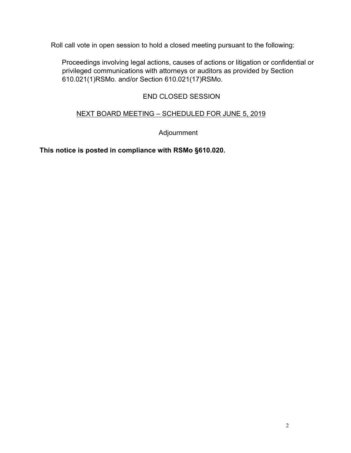Roll call vote in open session to hold a closed meeting pursuant to the following:

Proceedings involving legal actions, causes of actions or litigation or confidential or privileged communications with attorneys or auditors as provided by Section 610.021(1)RSMo. and/or Section 610.021(17)RSMo.

## END CLOSED SESSION

## NEXT BOARD MEETING – SCHEDULED FOR JUNE 5, 2019

Adjournment

**This notice is posted in compliance with RSMo §610.020.**